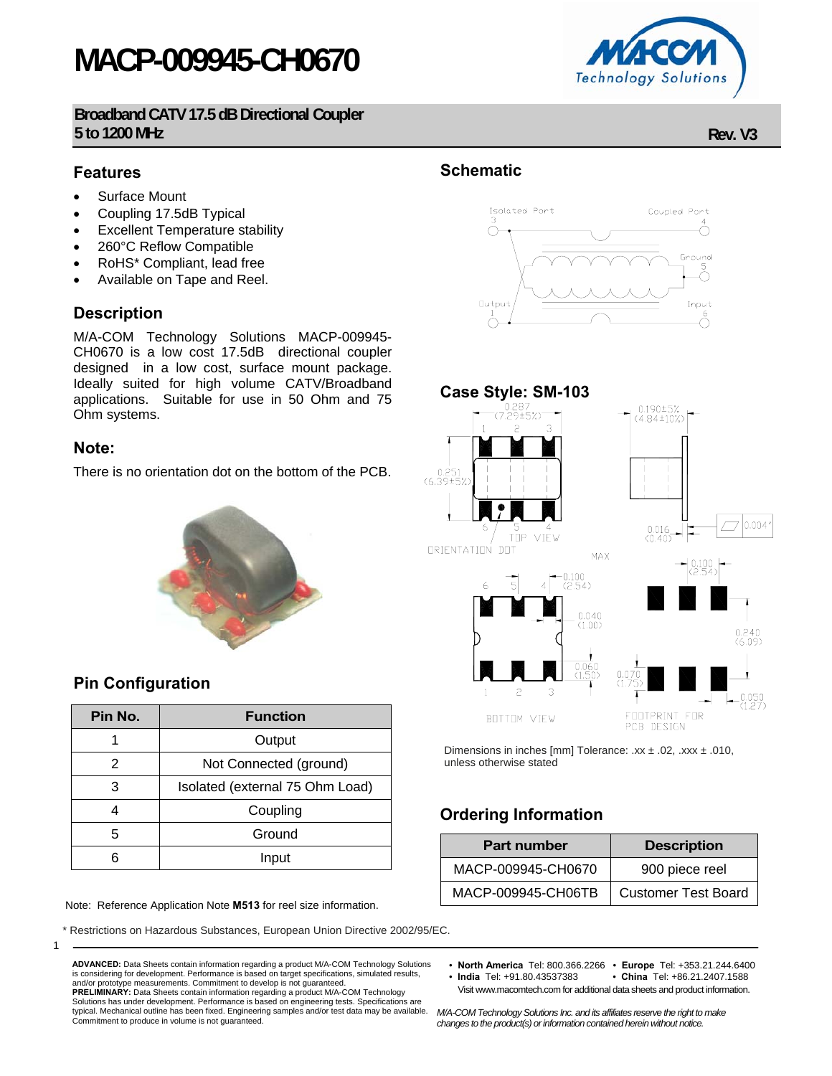# **MACP-009945-CH0670**

**Broadband CATV 17.5 dB Directional Coupler 5 to 1200 MHz Rev. V3**

### **Features**

- Surface Mount
- Coupling 17.5dB Typical
- **Excellent Temperature stability**
- 260°C Reflow Compatible
- RoHS\* Compliant, lead free
- Available on Tape and Reel.

### **Description**

M/A-COM Technology Solutions MACP-009945- CH0670 is a low cost 17.5dB directional coupler designed in a low cost, surface mount package. Ideally suited for high volume CATV/Broadband applications. Suitable for use in 50 Ohm and 75 Ohm systems.

#### **Note:**

1

There is no orientation dot on the bottom of the PCB.



### **Pin Configuration**

| Pin No. | <b>Function</b>                 |  |  |  |
|---------|---------------------------------|--|--|--|
|         | Output                          |  |  |  |
| 2       | Not Connected (ground)          |  |  |  |
| 3       | Isolated (external 75 Ohm Load) |  |  |  |
|         | Coupling                        |  |  |  |
| 5       | Ground                          |  |  |  |
|         | Input                           |  |  |  |

Note: Reference Application Note **M513** for reel size information.

and/or prototype measurements. Commitment to develop is not guaranteed.

Commitment to produce in volume is not guaranteed.

Restrictions on Hazardous Substances, European Union Directive 2002/95/EC.

**ADVANCED:** Data Sheets contain information regarding a product M/A-COM Technology Solutions is considering for development. Performance is based on target specifications, simulated results,

**PRELIMINARY:** Data Sheets contain information regarding a product M/A-COM Technology Solutions has under development. Performance is based on engineering tests. Specifications are typical. Mechanical outline has been fixed. Engineering samples and/or test data may be available.

### **Schematic**





Dimensions in inches [mm] Tolerance: .xx  $\pm$  .02, .xxx  $\pm$  .010, unless otherwise stated

## **Ordering Information**

| <b>Part number</b> | <b>Description</b>         |  |  |
|--------------------|----------------------------|--|--|
| MACP-009945-CH0670 | 900 piece reel             |  |  |
| MACP-009945-CH06TB | <b>Customer Test Board</b> |  |  |

• **North America** Tel: 800.366.2266 • **Europe** Tel: +353.21.244.6400

• China Tel: +86.21.2407.1588 Visit www.macomtech.com for additional data sheets and product information.

*M/A-COM Technology Solutions Inc. and its affiliates reserve the right to make changes to the product(s) or information contained herein without notice.* 

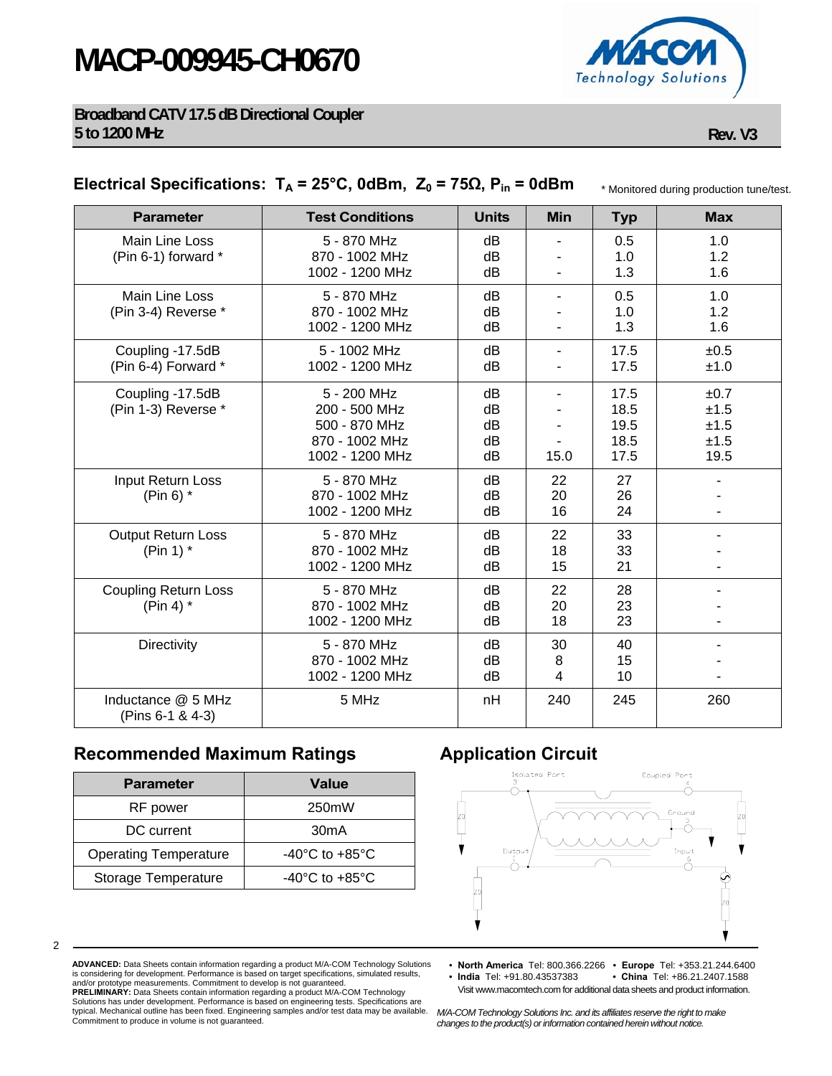# **MACP-009945-CH0670**



#### **Broadband CATV 17.5 dB Directional Coupler 5 to 1200 MHz Rev. V3**

### **Electrical Specifications:**  $T_A = 25^\circ$ C, 0dBm,  $Z_0 = 75\Omega$ ,  $P_{in} = 0d$ Bm

\* Monitored during production tune/test.

| <b>Parameter</b>                           | <b>Test Conditions</b>                                                             | <b>Units</b>               | <b>Min</b>               | <b>Typ</b>                           | <b>Max</b>                           |
|--------------------------------------------|------------------------------------------------------------------------------------|----------------------------|--------------------------|--------------------------------------|--------------------------------------|
| Main Line Loss<br>(Pin 6-1) forward *      | 5 - 870 MHz<br>870 - 1002 MHz<br>1002 - 1200 MHz                                   | dB<br>dB<br>dB             | $\overline{\phantom{m}}$ | 0.5<br>1.0<br>1.3                    | 1.0<br>1.2<br>1.6                    |
| Main Line Loss<br>(Pin 3-4) Reverse *      | 5 - 870 MHz<br>870 - 1002 MHz<br>1002 - 1200 MHz                                   | dB<br>dB<br>dB             |                          | 0.5<br>1.0<br>1.3                    | 1.0<br>1.2<br>1.6                    |
| Coupling -17.5dB<br>(Pin 6-4) Forward *    | 5 - 1002 MHz<br>1002 - 1200 MHz                                                    | dB<br>dB                   | $\overline{\phantom{m}}$ | 17.5<br>17.5                         | ±0.5<br>±1.0                         |
| Coupling -17.5dB<br>(Pin 1-3) Reverse *    | 5 - 200 MHz<br>200 - 500 MHz<br>500 - 870 MHz<br>870 - 1002 MHz<br>1002 - 1200 MHz | dB<br>dB<br>dB<br>dB<br>dB | 15.0                     | 17.5<br>18.5<br>19.5<br>18.5<br>17.5 | ±0.7<br>±1.5<br>±1.5<br>±1.5<br>19.5 |
| Input Return Loss<br>(Pin 6) $*$           | 5 - 870 MHz<br>870 - 1002 MHz<br>1002 - 1200 MHz                                   | dB<br>dB<br>dB             | 22<br>20<br>16           | 27<br>26<br>24                       |                                      |
| <b>Output Return Loss</b><br>(Pin 1) $*$   | 5 - 870 MHz<br>870 - 1002 MHz<br>1002 - 1200 MHz                                   | dB<br>dB<br>dB             | 22<br>18<br>15           | 33<br>33<br>21                       |                                      |
| <b>Coupling Return Loss</b><br>(Pin 4) $*$ | 5 - 870 MHz<br>870 - 1002 MHz<br>1002 - 1200 MHz                                   | dB<br>dB<br>dB             | 22<br>20<br>18           | 28<br>23<br>23                       |                                      |
| Directivity                                | 5 - 870 MHz<br>870 - 1002 MHz<br>1002 - 1200 MHz                                   | dB<br>dB<br>dB             | 30<br>8<br>4             | 40<br>15<br>10                       |                                      |
| Inductance @ 5 MHz<br>(Pins 6-1 & 4-3)     | 5 MHz                                                                              | nH                         | 240                      | 245                                  | 260                                  |

### **Recommended Maximum Ratings Application Circuit**

| <b>Parameter</b>             | <b>Value</b>                         |  |  |  |
|------------------------------|--------------------------------------|--|--|--|
| RF power                     | 250mW                                |  |  |  |
| DC current                   | 30 <sub>m</sub> A                    |  |  |  |
| <b>Operating Temperature</b> | -40 $^{\circ}$ C to +85 $^{\circ}$ C |  |  |  |
| Storage Temperature          | $-40^{\circ}$ C to $+85^{\circ}$ C   |  |  |  |



2

**ADVANCED:** Data Sheets contain information regarding a product M/A-COM Technology Solutions is considering for development. Performance is based on target specifications, simulated results, and/or prototype measurements. Commitment to develop is not guaranteed. **PRELIMINARY:** Data Sheets contain information regarding a product M/A-COM Technology<br>Solutions has under development. Performance is based on engineering tests. Specifications are<br>typical. Mechanical outline has been fixe

Commitment to produce in volume is not guaranteed.

- **North America** Tel: 800.366.2266 **Europe** Tel: +353.21.244.6400 • China Tel: +86.21.2407.1588
	- Visit www.macomtech.com for additional data sheets and product information.

*M/A-COM Technology Solutions Inc. and its affiliates reserve the right to make changes to the product(s) or information contained herein without notice.*